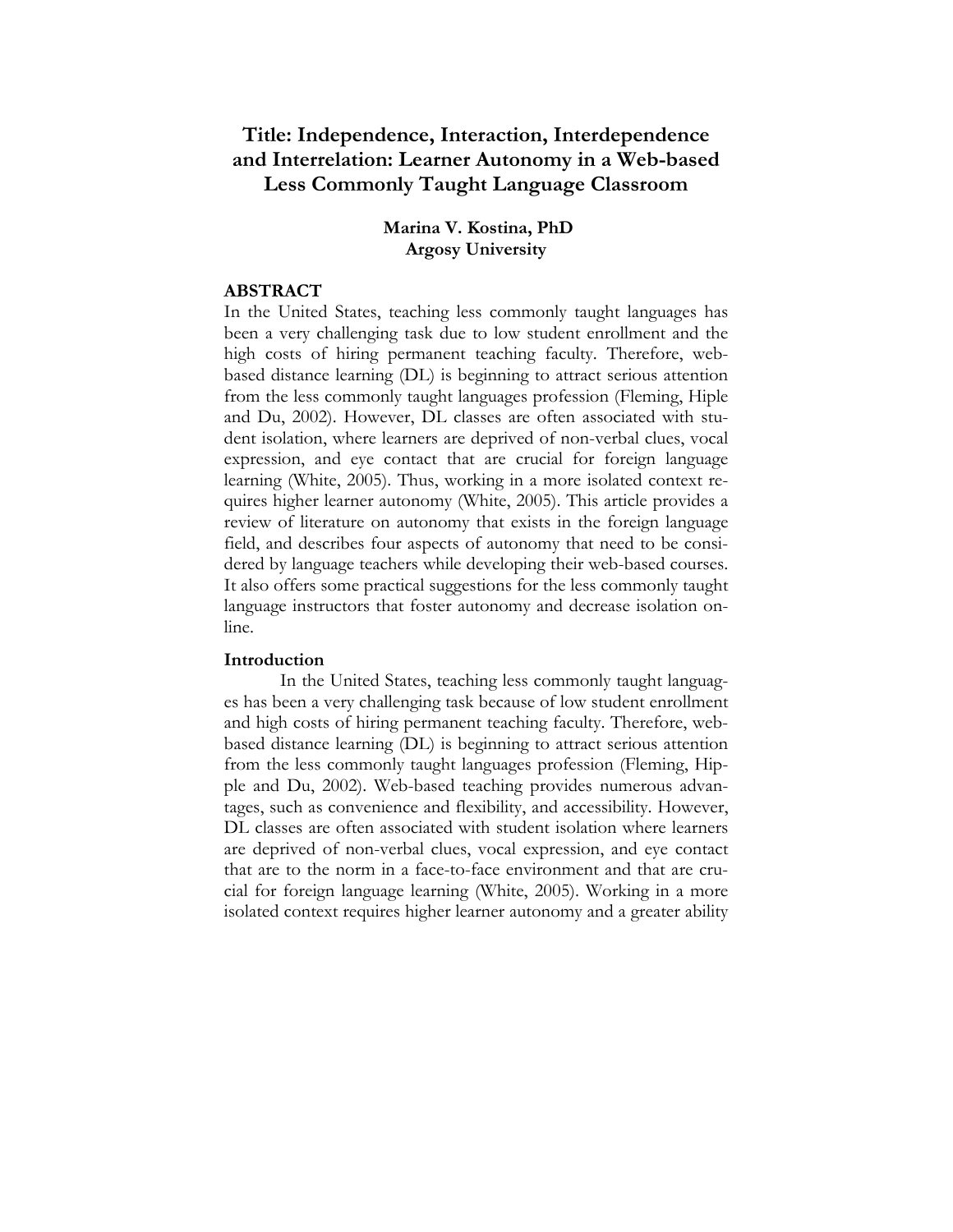# **Title: Independence, Interaction, Interdependence and Interrelation: Learner Autonomy in a Web-based Less Commonly Taught Language Classroom**

# **Marina V. Kostina, PhD Argosy University**

# **ABSTRACT**

In the United States, teaching less commonly taught languages has been a very challenging task due to low student enrollment and the high costs of hiring permanent teaching faculty. Therefore, webbased distance learning (DL) is beginning to attract serious attention from the less commonly taught languages profession (Fleming, Hiple and Du, 2002). However, DL classes are often associated with student isolation, where learners are deprived of non-verbal clues, vocal expression, and eye contact that are crucial for foreign language learning (White, 2005). Thus, working in a more isolated context requires higher learner autonomy (White, 2005). This article provides a review of literature on autonomy that exists in the foreign language field, and describes four aspects of autonomy that need to be considered by language teachers while developing their web-based courses. It also offers some practical suggestions for the less commonly taught language instructors that foster autonomy and decrease isolation online.

# **Introduction**

In the United States, teaching less commonly taught languages has been a very challenging task because of low student enrollment and high costs of hiring permanent teaching faculty. Therefore, webbased distance learning (DL) is beginning to attract serious attention from the less commonly taught languages profession (Fleming, Hipple and Du, 2002). Web-based teaching provides numerous advantages, such as convenience and flexibility, and accessibility. However, DL classes are often associated with student isolation where learners are deprived of non-verbal clues, vocal expression, and eye contact that are to the norm in a face-to-face environment and that are crucial for foreign language learning (White, 2005). Working in a more isolated context requires higher learner autonomy and a greater ability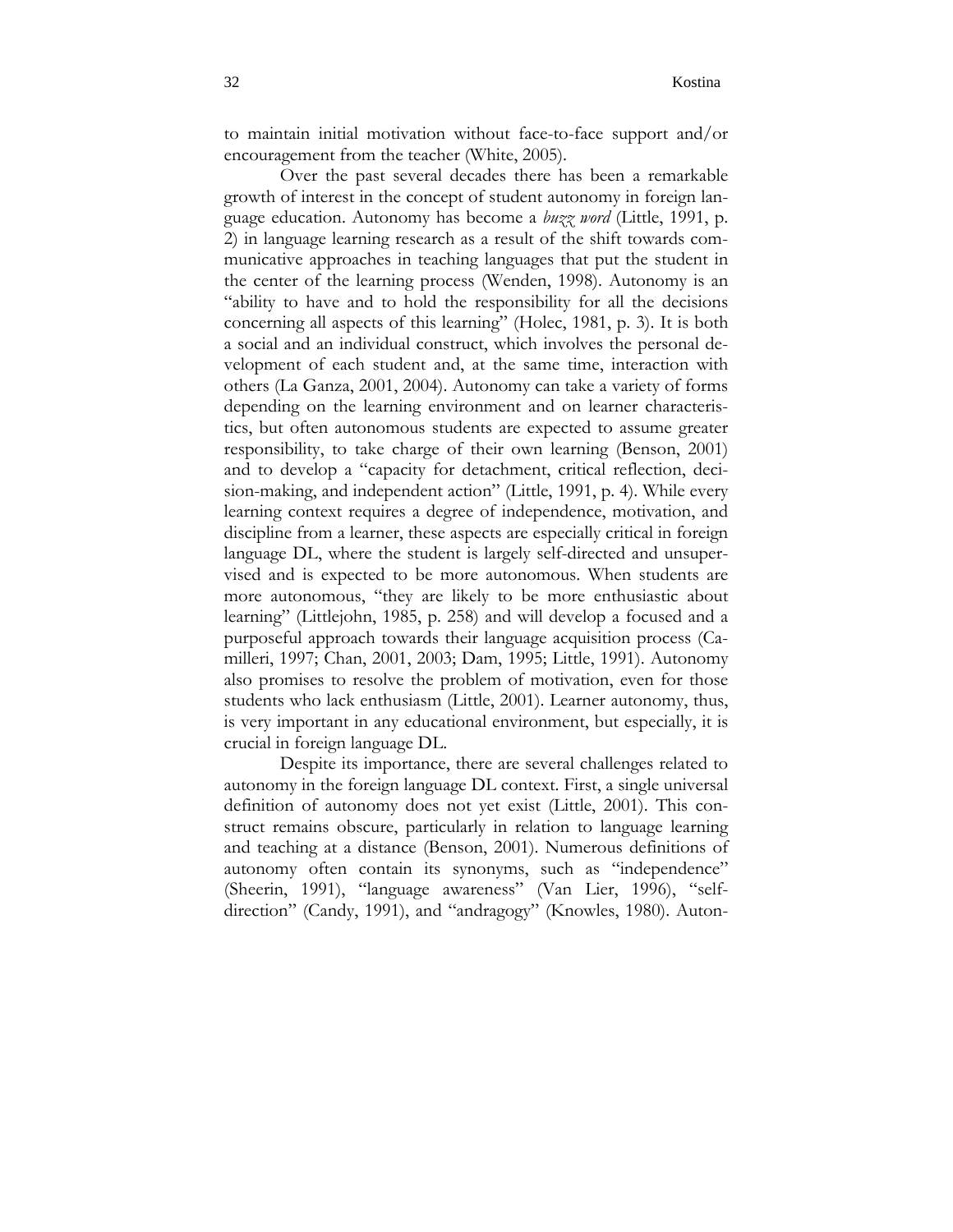to maintain initial motivation without face-to-face support and/or encouragement from the teacher (White, 2005).

Over the past several decades there has been a remarkable growth of interest in the concept of student autonomy in foreign language education. Autonomy has become a *buzz word* (Little, 1991, p. 2) in language learning research as a result of the shift towards communicative approaches in teaching languages that put the student in the center of the learning process (Wenden, 1998). Autonomy is an "ability to have and to hold the responsibility for all the decisions concerning all aspects of this learning" (Holec, 1981, p. 3). It is both a social and an individual construct, which involves the personal development of each student and, at the same time, interaction with others (La Ganza, 2001, 2004). Autonomy can take a variety of forms depending on the learning environment and on learner characteristics, but often autonomous students are expected to assume greater responsibility, to take charge of their own learning (Benson, 2001) and to develop a "capacity for detachment, critical reflection, decision-making, and independent action" (Little, 1991, p. 4). While every learning context requires a degree of independence, motivation, and discipline from a learner, these aspects are especially critical in foreign language DL, where the student is largely self-directed and unsupervised and is expected to be more autonomous. When students are more autonomous, "they are likely to be more enthusiastic about learning" (Littlejohn, 1985, p. 258) and will develop a focused and a purposeful approach towards their language acquisition process (Camilleri, 1997; Chan, 2001, 2003; Dam, 1995; Little, 1991). Autonomy also promises to resolve the problem of motivation, even for those students who lack enthusiasm (Little, 2001). Learner autonomy, thus, is very important in any educational environment, but especially, it is crucial in foreign language DL.

Despite its importance, there are several challenges related to autonomy in the foreign language DL context. First, a single universal definition of autonomy does not yet exist (Little, 2001). This construct remains obscure, particularly in relation to language learning and teaching at a distance (Benson, 2001). Numerous definitions of autonomy often contain its synonyms, such as "independence" (Sheerin, 1991), "language awareness" (Van Lier, 1996), "selfdirection" (Candy, 1991), and "andragogy" (Knowles, 1980). Auton-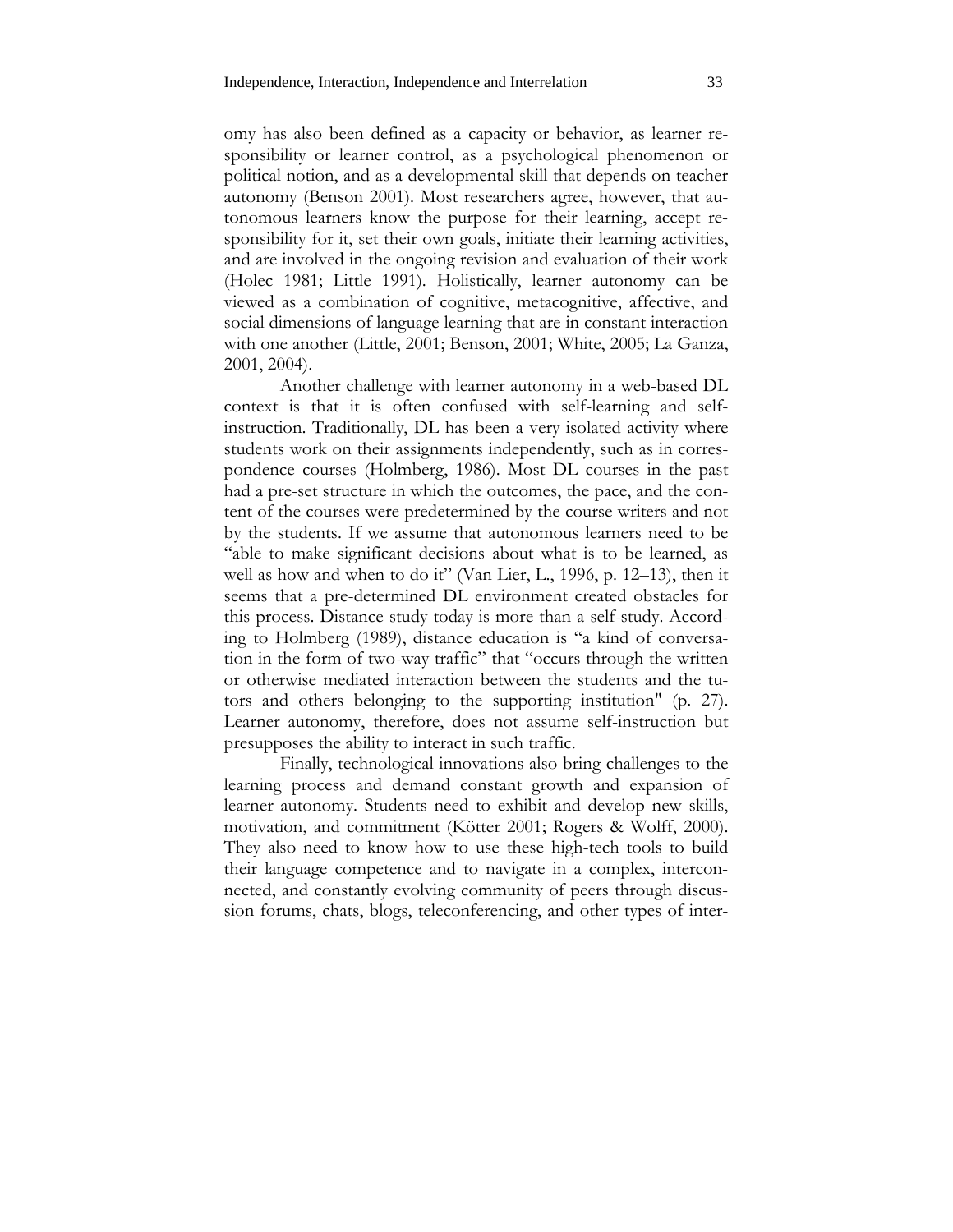omy has also been defined as a capacity or behavior, as learner responsibility or learner control, as a psychological phenomenon or political notion, and as a developmental skill that depends on teacher autonomy (Benson 2001). Most researchers agree, however, that autonomous learners know the purpose for their learning, accept responsibility for it, set their own goals, initiate their learning activities, and are involved in the ongoing revision and evaluation of their work (Holec 1981; Little 1991). Holistically, learner autonomy can be viewed as a combination of cognitive, metacognitive, affective, and social dimensions of language learning that are in constant interaction with one another (Little, 2001; Benson, 2001; White, 2005; La Ganza, 2001, 2004).

Another challenge with learner autonomy in a web-based DL context is that it is often confused with self-learning and selfinstruction. Traditionally, DL has been a very isolated activity where students work on their assignments independently, such as in correspondence courses (Holmberg, 1986). Most DL courses in the past had a pre-set structure in which the outcomes, the pace, and the content of the courses were predetermined by the course writers and not by the students. If we assume that autonomous learners need to be "able to make significant decisions about what is to be learned, as well as how and when to do it" (Van Lier, L., 1996, p. 12–13), then it seems that a pre-determined DL environment created obstacles for this process. Distance study today is more than a self-study. According to Holmberg (1989), distance education is "a kind of conversation in the form of two-way traffic" that "occurs through the written or otherwise mediated interaction between the students and the tutors and others belonging to the supporting institution" (p. 27). Learner autonomy, therefore, does not assume self-instruction but presupposes the ability to interact in such traffic.

Finally, technological innovations also bring challenges to the learning process and demand constant growth and expansion of learner autonomy. Students need to exhibit and develop new skills, motivation, and commitment (Kötter 2001; Rogers & Wolff, 2000). They also need to know how to use these high-tech tools to build their language competence and to navigate in a complex, interconnected, and constantly evolving community of peers through discussion forums, chats, blogs, teleconferencing, and other types of inter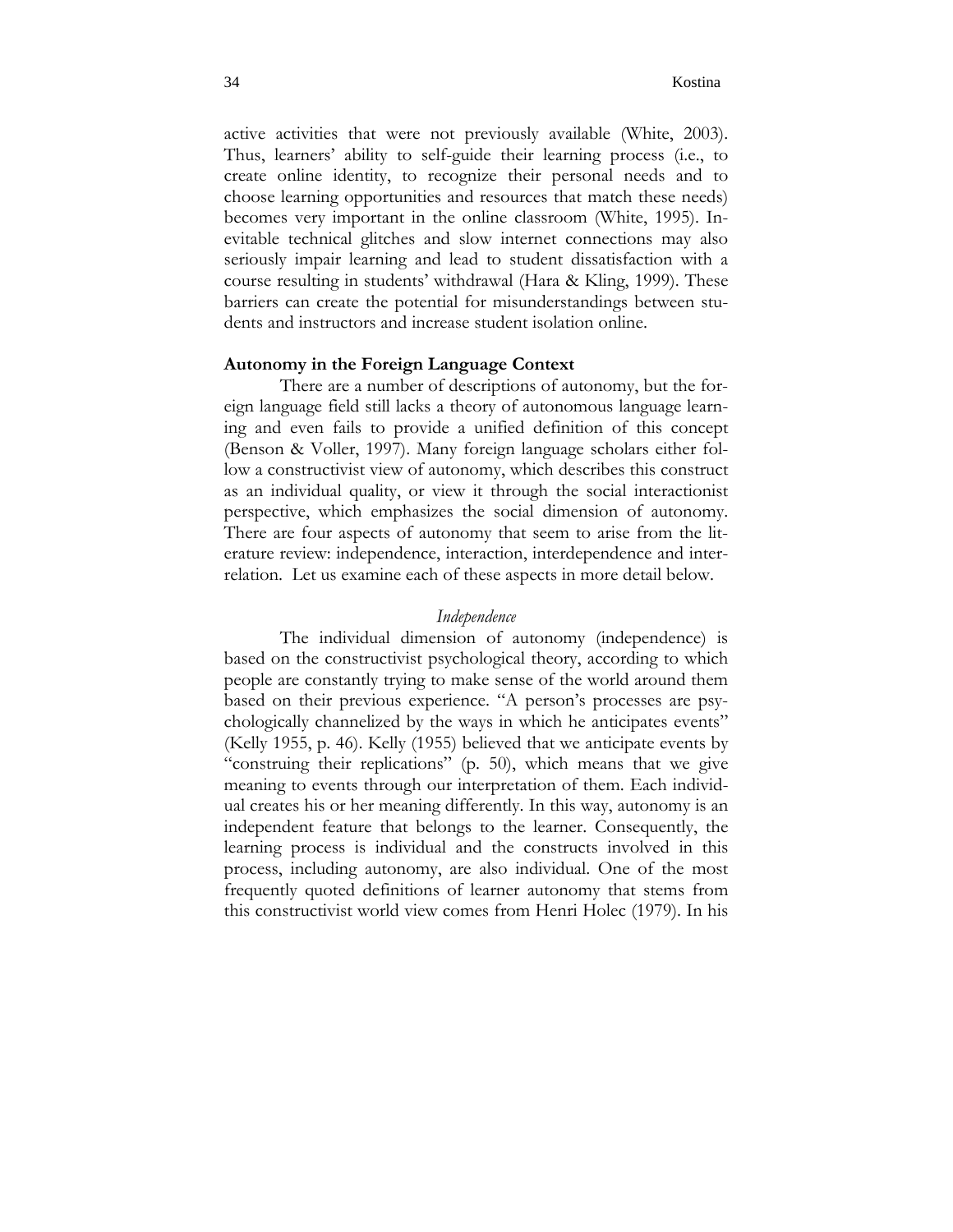active activities that were not previously available (White, 2003). Thus, learners' ability to self-guide their learning process (i.e., to create online identity, to recognize their personal needs and to choose learning opportunities and resources that match these needs) becomes very important in the online classroom (White, 1995). Inevitable technical glitches and slow internet connections may also seriously impair learning and lead to student dissatisfaction with a course resulting in students' withdrawal (Hara & Kling, 1999). These barriers can create the potential for misunderstandings between students and instructors and increase student isolation online.

# **Autonomy in the Foreign Language Context**

There are a number of descriptions of autonomy, but the foreign language field still lacks a theory of autonomous language learning and even fails to provide a unified definition of this concept (Benson & Voller, 1997). Many foreign language scholars either follow a constructivist view of autonomy, which describes this construct as an individual quality, or view it through the social interactionist perspective, which emphasizes the social dimension of autonomy. There are four aspects of autonomy that seem to arise from the literature review: independence, interaction, interdependence and interrelation. Let us examine each of these aspects in more detail below.

### *Independence*

The individual dimension of autonomy (independence) is based on the constructivist psychological theory, according to which people are constantly trying to make sense of the world around them based on their previous experience. "A person's processes are psychologically channelized by the ways in which he anticipates events" (Kelly 1955, p. 46). Kelly (1955) believed that we anticipate events by "construing their replications" (p. 50), which means that we give meaning to events through our interpretation of them. Each individual creates his or her meaning differently. In this way, autonomy is an independent feature that belongs to the learner. Consequently, the learning process is individual and the constructs involved in this process, including autonomy, are also individual. One of the most frequently quoted definitions of learner autonomy that stems from this constructivist world view comes from Henri Holec (1979). In his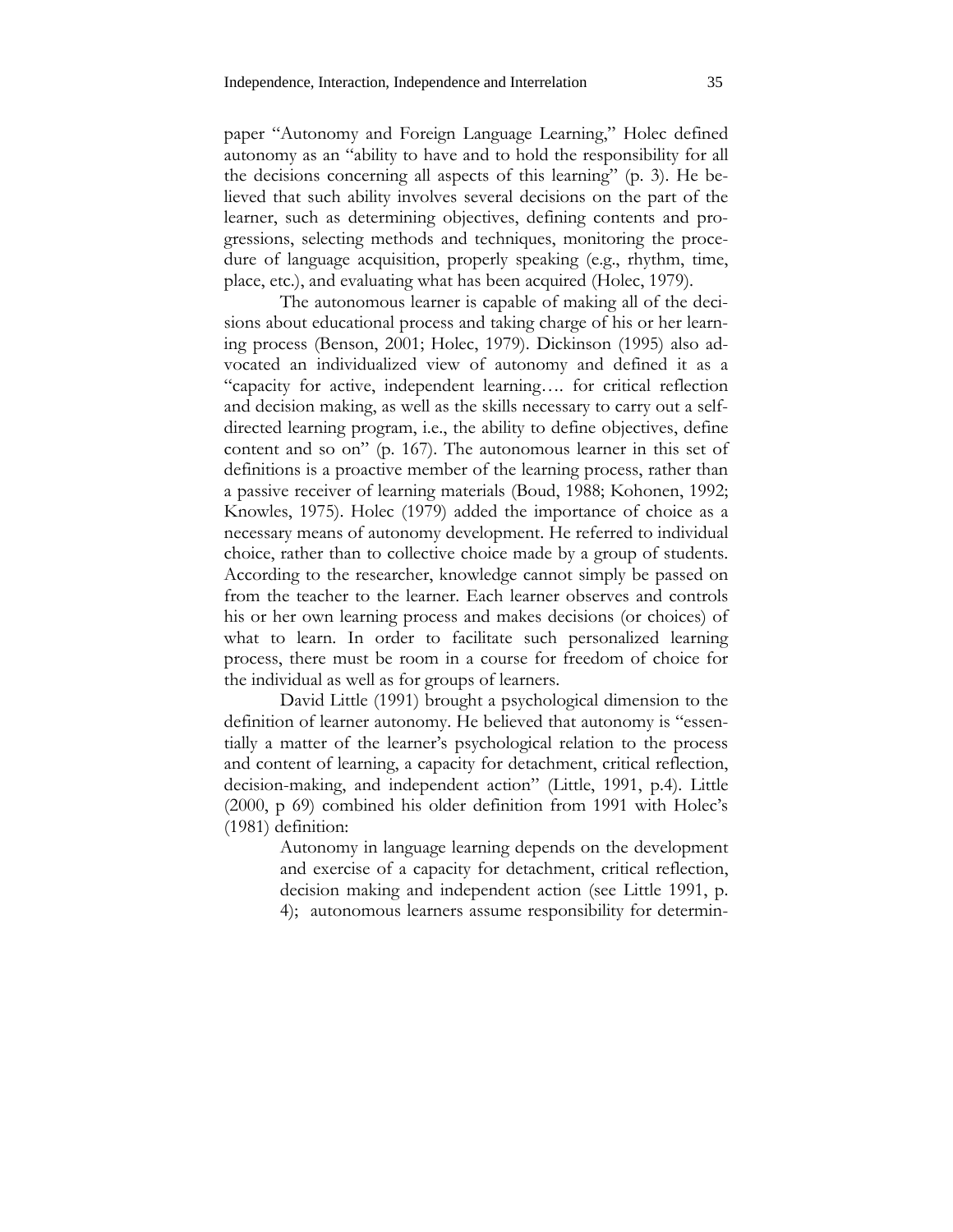paper "Autonomy and Foreign Language Learning," Holec defined autonomy as an "ability to have and to hold the responsibility for all the decisions concerning all aspects of this learning" (p. 3). He believed that such ability involves several decisions on the part of the learner, such as determining objectives, defining contents and progressions, selecting methods and techniques, monitoring the procedure of language acquisition, properly speaking (e.g., rhythm, time, place, etc.), and evaluating what has been acquired (Holec, 1979).

The autonomous learner is capable of making all of the decisions about educational process and taking charge of his or her learning process (Benson, 2001; Holec, 1979). Dickinson (1995) also advocated an individualized view of autonomy and defined it as a "capacity for active, independent learning…. for critical reflection and decision making, as well as the skills necessary to carry out a selfdirected learning program, i.e., the ability to define objectives, define content and so on" (p. 167). The autonomous learner in this set of definitions is a proactive member of the learning process, rather than a passive receiver of learning materials (Boud, 1988; Kohonen, 1992; Knowles, 1975). Holec (1979) added the importance of choice as a necessary means of autonomy development. He referred to individual choice, rather than to collective choice made by a group of students. According to the researcher, knowledge cannot simply be passed on from the teacher to the learner. Each learner observes and controls his or her own learning process and makes decisions (or choices) of what to learn. In order to facilitate such personalized learning process, there must be room in a course for freedom of choice for the individual as well as for groups of learners.

David Little (1991) brought a psychological dimension to the definition of learner autonomy. He believed that autonomy is "essentially a matter of the learner's psychological relation to the process and content of learning, a capacity for detachment, critical reflection, decision-making, and independent action" (Little, 1991, p.4). Little (2000, p 69) combined his older definition from 1991 with Holec's (1981) definition:

> Autonomy in language learning depends on the development and exercise of a capacity for detachment, critical reflection, decision making and independent action (see Little 1991, p. 4); autonomous learners assume responsibility for determin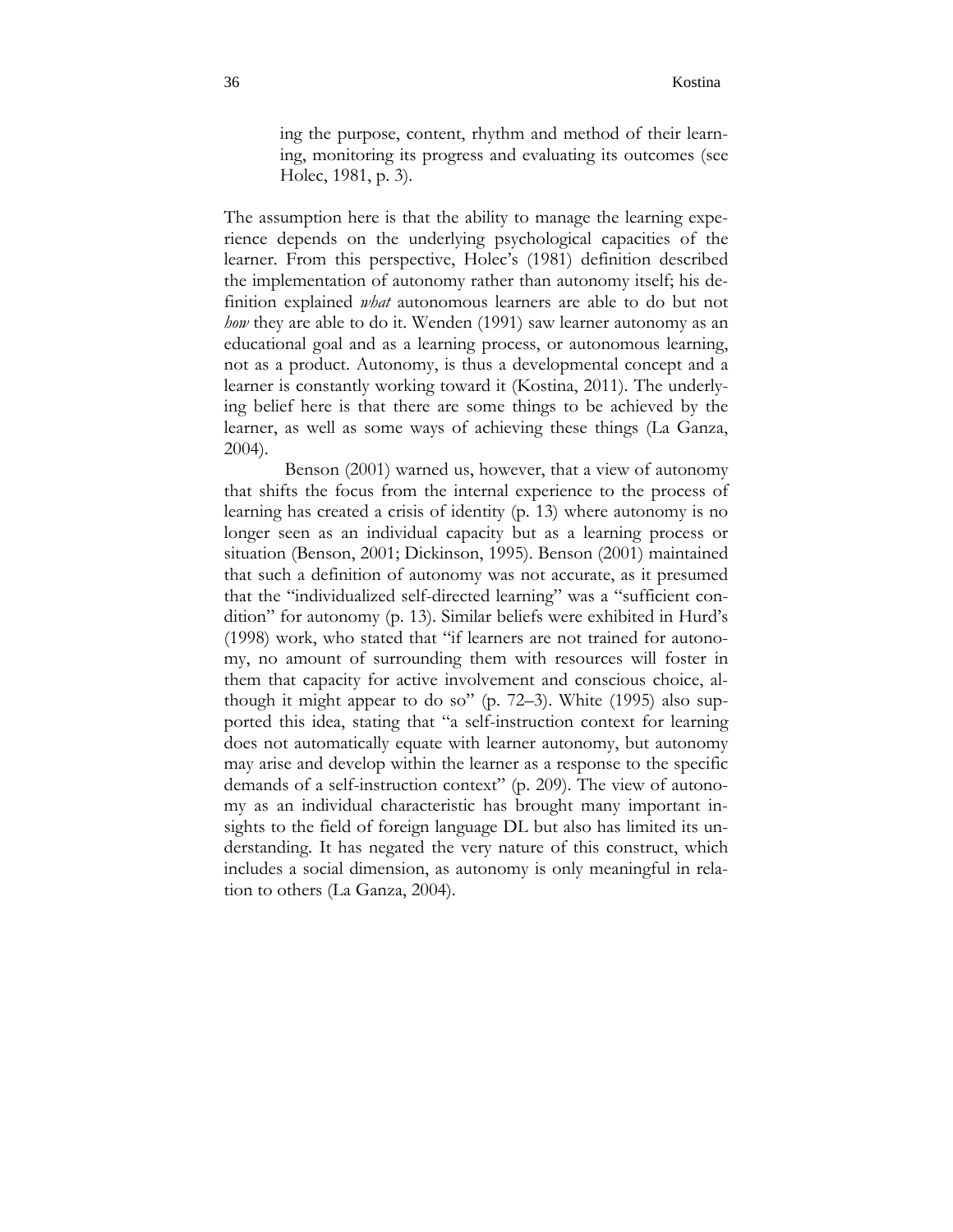ing the purpose, content, rhythm and method of their learning, monitoring its progress and evaluating its outcomes (see Holec, 1981, p. 3).

The assumption here is that the ability to manage the learning experience depends on the underlying psychological capacities of the learner. From this perspective, Holec's (1981) definition described the implementation of autonomy rather than autonomy itself; his definition explained *what* autonomous learners are able to do but not *how* they are able to do it. Wenden (1991) saw learner autonomy as an educational goal and as a learning process, or autonomous learning, not as a product. Autonomy, is thus a developmental concept and a learner is constantly working toward it (Kostina, 2011). The underlying belief here is that there are some things to be achieved by the learner, as well as some ways of achieving these things (La Ganza, 2004).

 Benson (2001) warned us, however, that a view of autonomy that shifts the focus from the internal experience to the process of learning has created a crisis of identity (p. 13) where autonomy is no longer seen as an individual capacity but as a learning process or situation (Benson, 2001; Dickinson, 1995). Benson (2001) maintained that such a definition of autonomy was not accurate, as it presumed that the "individualized self-directed learning" was a "sufficient condition" for autonomy (p. 13). Similar beliefs were exhibited in Hurd's (1998) work, who stated that "if learners are not trained for autonomy, no amount of surrounding them with resources will foster in them that capacity for active involvement and conscious choice, although it might appear to do so" (p. 72–3). White (1995) also supported this idea, stating that "a self-instruction context for learning does not automatically equate with learner autonomy, but autonomy may arise and develop within the learner as a response to the specific demands of a self-instruction context" (p. 209). The view of autonomy as an individual characteristic has brought many important insights to the field of foreign language DL but also has limited its understanding. It has negated the very nature of this construct, which includes a social dimension, as autonomy is only meaningful in relation to others (La Ganza, 2004).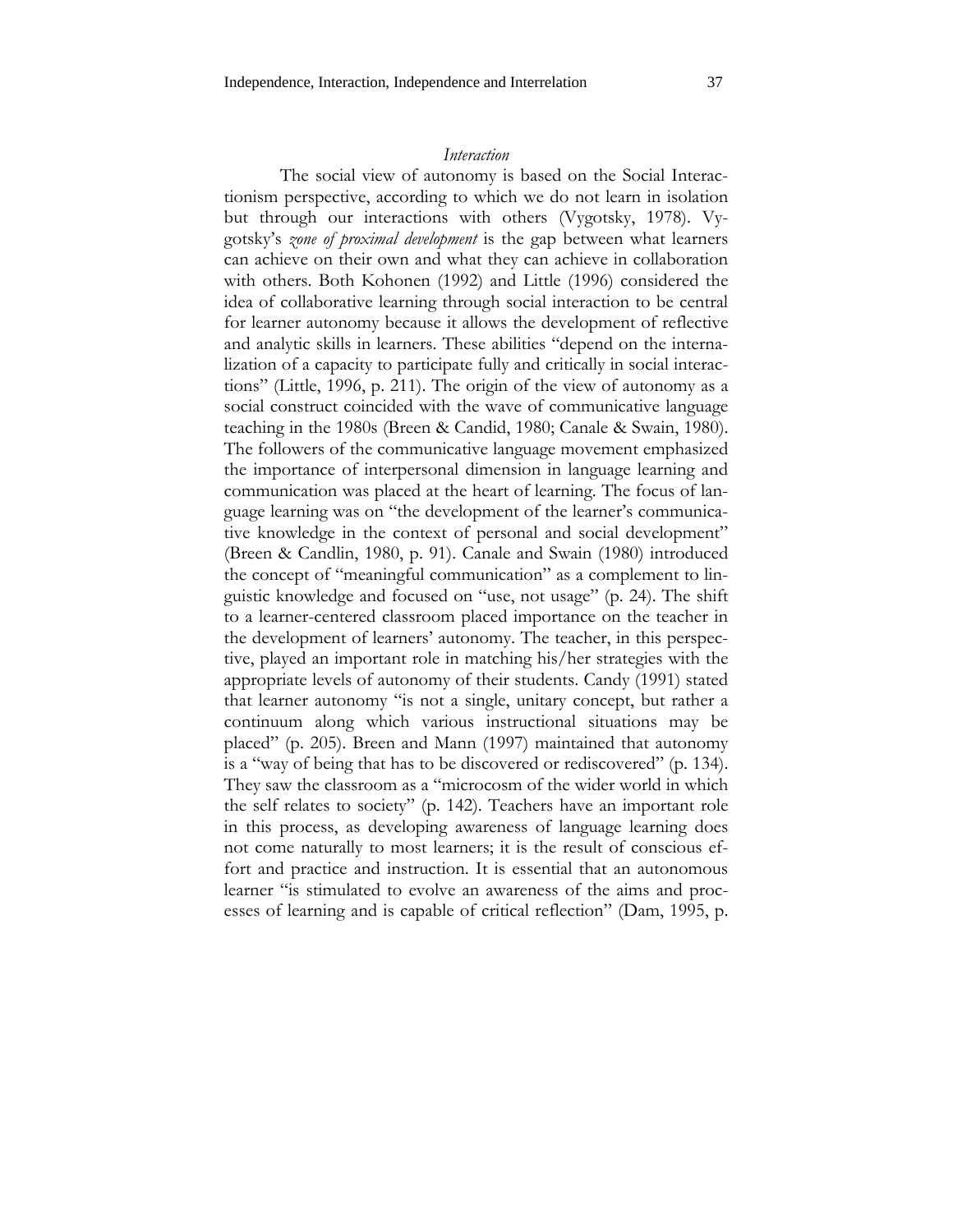#### *Interaction*

The social view of autonomy is based on the Social Interactionism perspective, according to which we do not learn in isolation but through our interactions with others (Vygotsky, 1978). Vygotsky's *zone of proximal development* is the gap between what learners can achieve on their own and what they can achieve in collaboration with others. Both Kohonen (1992) and Little (1996) considered the idea of collaborative learning through social interaction to be central for learner autonomy because it allows the development of reflective and analytic skills in learners. These abilities "depend on the internalization of a capacity to participate fully and critically in social interactions" (Little, 1996, p. 211). The origin of the view of autonomy as a social construct coincided with the wave of communicative language teaching in the 1980s (Breen & Candid, 1980; Canale & Swain, 1980). The followers of the communicative language movement emphasized the importance of interpersonal dimension in language learning and communication was placed at the heart of learning. The focus of language learning was on "the development of the learner's communicative knowledge in the context of personal and social development" (Breen & Candlin, 1980, p. 91). Canale and Swain (1980) introduced the concept of "meaningful communication" as a complement to linguistic knowledge and focused on "use, not usage" (p. 24). The shift to a learner-centered classroom placed importance on the teacher in the development of learners' autonomy. The teacher, in this perspective, played an important role in matching his/her strategies with the appropriate levels of autonomy of their students. Candy (1991) stated that learner autonomy "is not a single, unitary concept, but rather a continuum along which various instructional situations may be placed" (p. 205). Breen and Mann (1997) maintained that autonomy is a "way of being that has to be discovered or rediscovered" (p. 134). They saw the classroom as a "microcosm of the wider world in which the self relates to society" (p. 142). Teachers have an important role in this process, as developing awareness of language learning does not come naturally to most learners; it is the result of conscious effort and practice and instruction. It is essential that an autonomous learner "is stimulated to evolve an awareness of the aims and processes of learning and is capable of critical reflection" (Dam, 1995, p.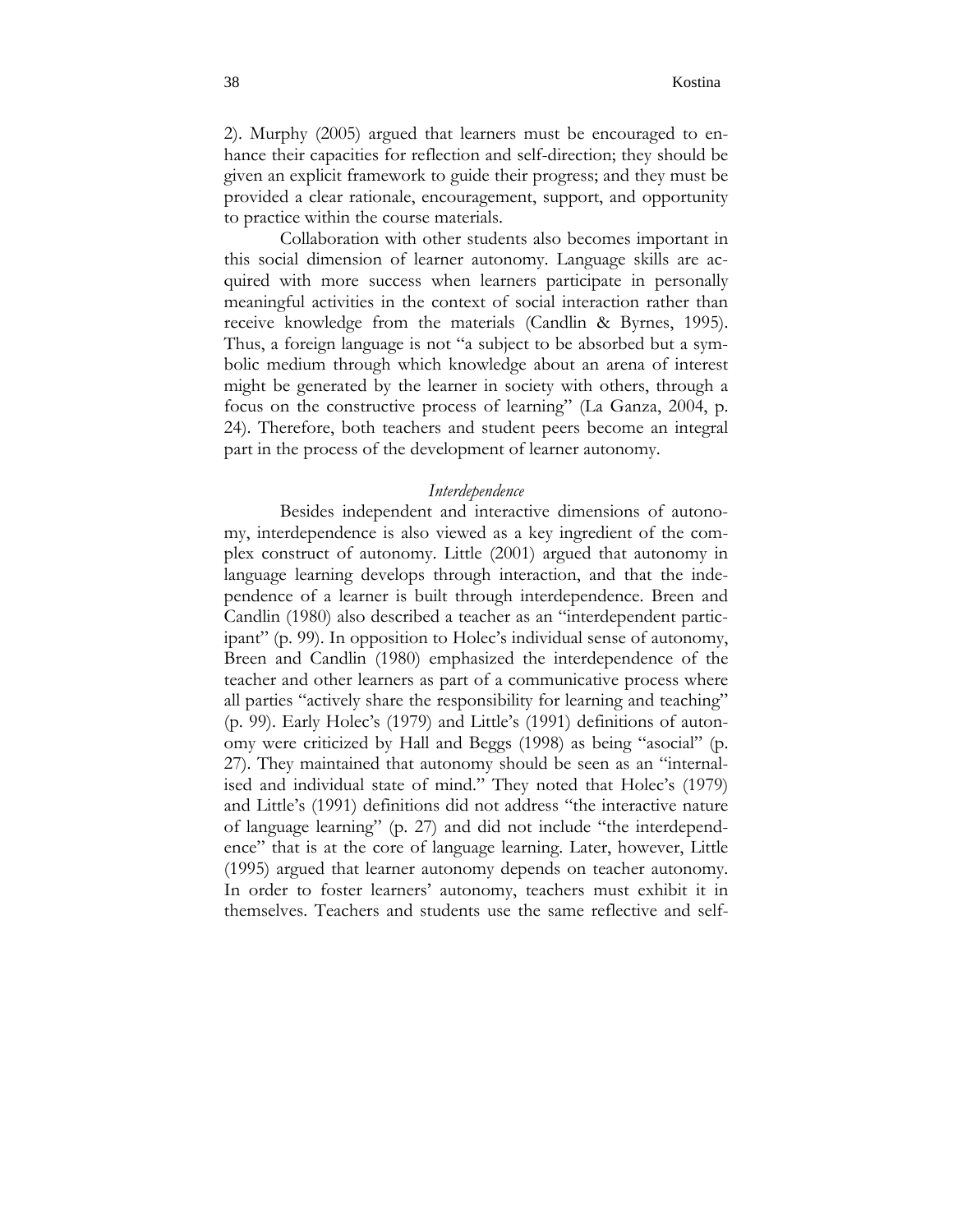2). Murphy (2005) argued that learners must be encouraged to enhance their capacities for reflection and self-direction; they should be given an explicit framework to guide their progress; and they must be provided a clear rationale, encouragement, support, and opportunity to practice within the course materials.

Collaboration with other students also becomes important in this social dimension of learner autonomy. Language skills are acquired with more success when learners participate in personally meaningful activities in the context of social interaction rather than receive knowledge from the materials (Candlin & Byrnes, 1995). Thus, a foreign language is not "a subject to be absorbed but a symbolic medium through which knowledge about an arena of interest might be generated by the learner in society with others, through a focus on the constructive process of learning" (La Ganza, 2004, p. 24). Therefore, both teachers and student peers become an integral part in the process of the development of learner autonomy.

# *Interdependence*

Besides independent and interactive dimensions of autonomy, interdependence is also viewed as a key ingredient of the complex construct of autonomy. Little (2001) argued that autonomy in language learning develops through interaction, and that the independence of a learner is built through interdependence. Breen and Candlin (1980) also described a teacher as an "interdependent participant" (p. 99). In opposition to Holec's individual sense of autonomy, Breen and Candlin (1980) emphasized the interdependence of the teacher and other learners as part of a communicative process where all parties "actively share the responsibility for learning and teaching" (p. 99). Early Holec's (1979) and Little's (1991) definitions of autonomy were criticized by Hall and Beggs (1998) as being "asocial" (p. 27). They maintained that autonomy should be seen as an "internalised and individual state of mind." They noted that Holec's (1979) and Little's (1991) definitions did not address "the interactive nature of language learning" (p. 27) and did not include "the interdependence" that is at the core of language learning. Later, however, Little (1995) argued that learner autonomy depends on teacher autonomy. In order to foster learners' autonomy, teachers must exhibit it in themselves. Teachers and students use the same reflective and self-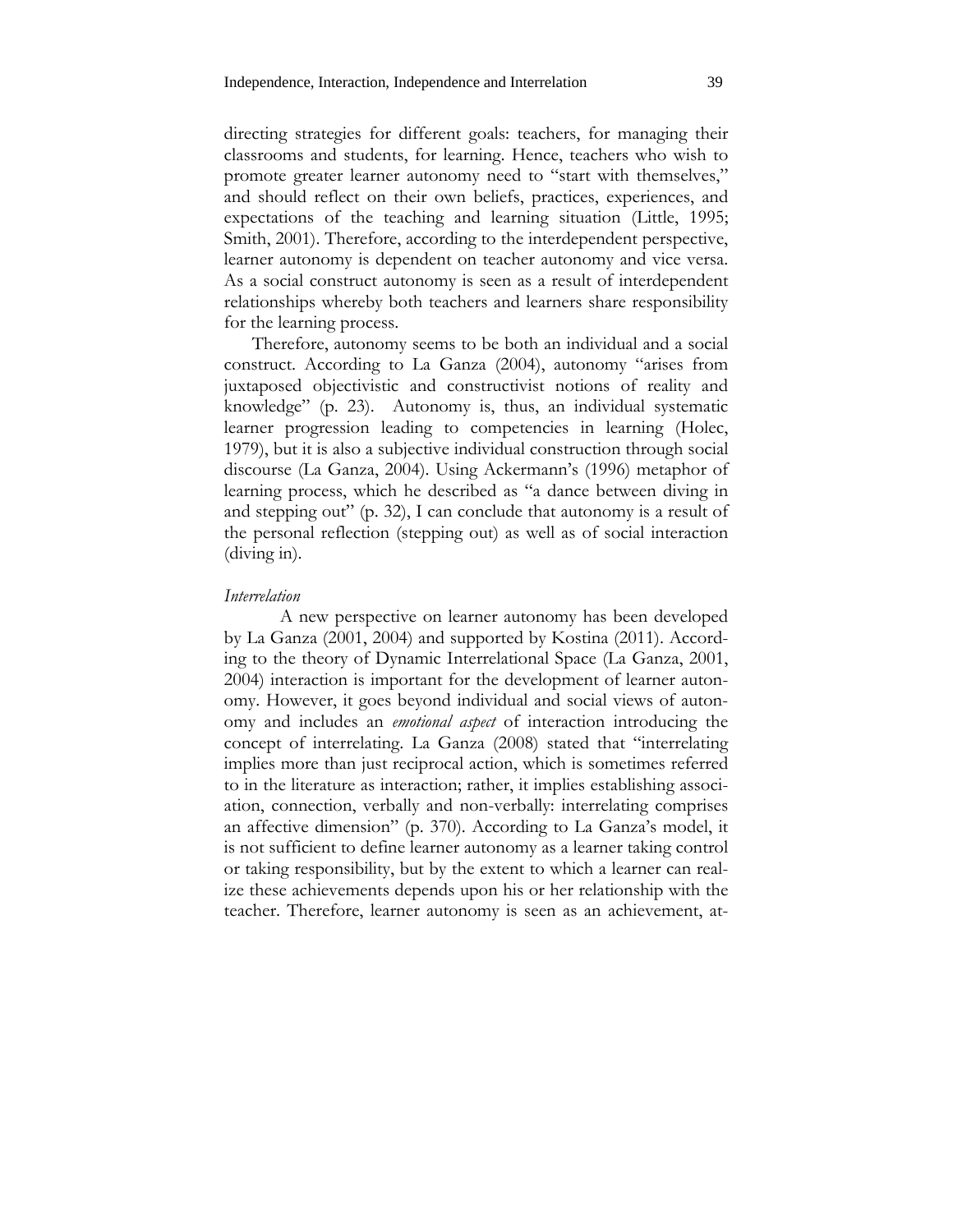directing strategies for different goals: teachers, for managing their classrooms and students, for learning. Hence, teachers who wish to promote greater learner autonomy need to "start with themselves," and should reflect on their own beliefs, practices, experiences, and expectations of the teaching and learning situation (Little, 1995; Smith, 2001). Therefore, according to the interdependent perspective, learner autonomy is dependent on teacher autonomy and vice versa. As a social construct autonomy is seen as a result of interdependent relationships whereby both teachers and learners share responsibility for the learning process.

Therefore, autonomy seems to be both an individual and a social construct. According to La Ganza (2004), autonomy "arises from juxtaposed objectivistic and constructivist notions of reality and knowledge" (p. 23). Autonomy is, thus, an individual systematic learner progression leading to competencies in learning (Holec, 1979), but it is also a subjective individual construction through social discourse (La Ganza, 2004). Using Ackermann's (1996) metaphor of learning process, which he described as "a dance between diving in and stepping out" (p. 32), I can conclude that autonomy is a result of the personal reflection (stepping out) as well as of social interaction (diving in).

#### *Interrelation*

A new perspective on learner autonomy has been developed by La Ganza (2001, 2004) and supported by Kostina (2011). According to the theory of Dynamic Interrelational Space (La Ganza, 2001, 2004) interaction is important for the development of learner autonomy. However, it goes beyond individual and social views of autonomy and includes an *emotional aspect* of interaction introducing the concept of interrelating. La Ganza (2008) stated that "interrelating implies more than just reciprocal action, which is sometimes referred to in the literature as interaction; rather, it implies establishing association, connection, verbally and non-verbally: interrelating comprises an affective dimension" (p. 370). According to La Ganza's model, it is not sufficient to define learner autonomy as a learner taking control or taking responsibility, but by the extent to which a learner can realize these achievements depends upon his or her relationship with the teacher. Therefore, learner autonomy is seen as an achievement, at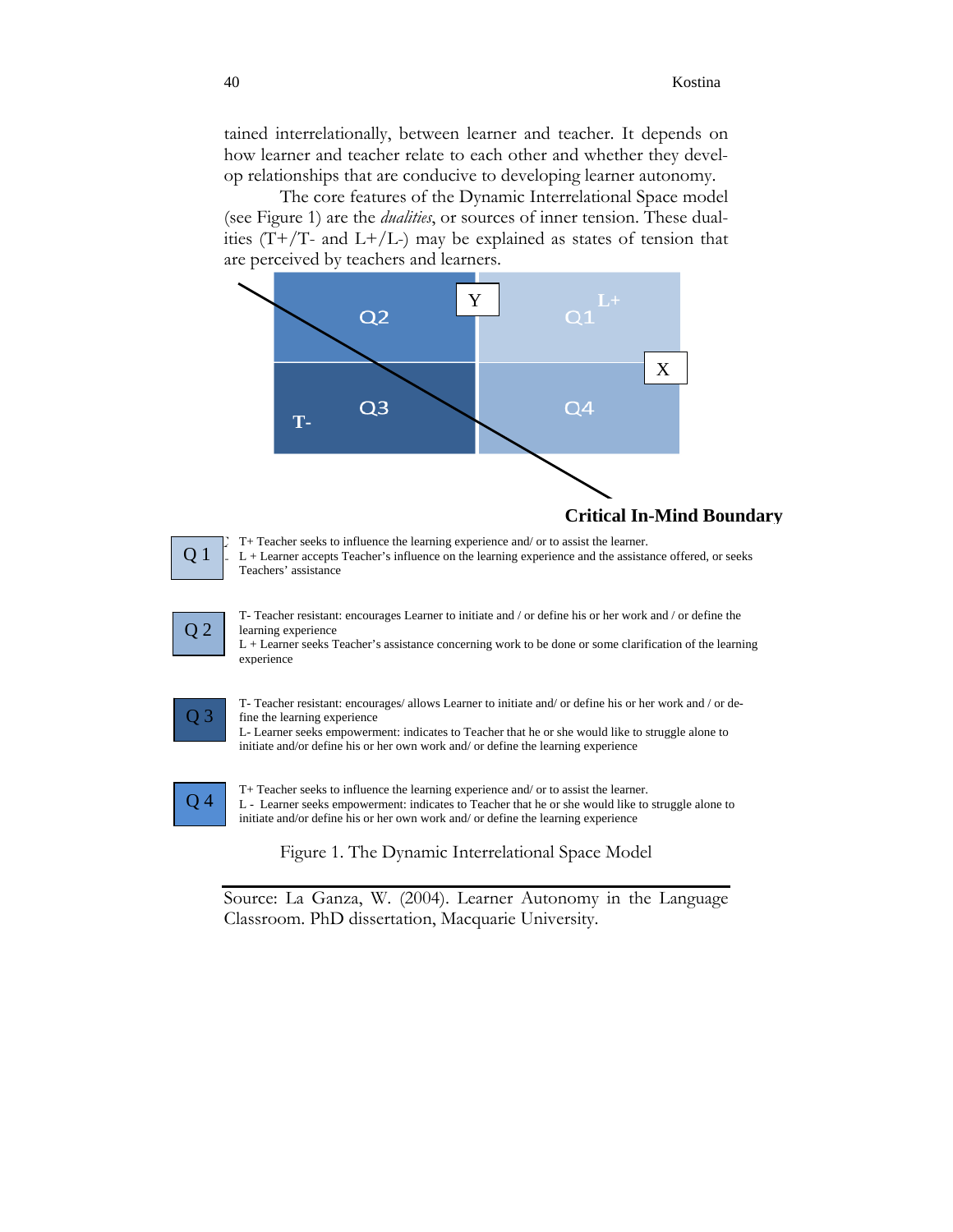tained interrelationally, between learner and teacher. It depends on how learner and teacher relate to each other and whether they develop relationships that are conducive to developing learner autonomy.

The core features of the Dynamic Interrelational Space model (see Figure 1) are the *dualities*, or sources of inner tension. These dualities  $(T+/T-$  and  $L+/L-)$  may be explained as states of tension that are perceived by teachers and learners.





*X*: T+ Teacher seeks to influence the learning experience and/ or to assist the learner.  $L +$  Learner accepts Teacher's influence on the learning experience and the assistance offered, or seeks Teachers' assistance



T- Teacher resistant: encourages Learner to initiate and / or define his or her work and / or define the learning experience

L + Learner seeks Teacher's assistance concerning work to be done or some clarification of the learning experience



T- Teacher resistant: encourages/ allows Learner to initiate and/ or define his or her work and / or define the learning experience

L- Learner seeks empowerment: indicates to Teacher that he or she would like to struggle alone to initiate and/or define his or her own work and/ or define the learning experience



T+ Teacher seeks to influence the learning experience and/ or to assist the learner. L - Learner seeks empowerment: indicates to Teacher that he or she would like to struggle alone to initiate and/or define his or her own work and/ or define the learning experience

Figure 1. The Dynamic Interrelational Space Model

Source: La Ganza, W. (2004). Learner Autonomy in the Language Classroom. PhD dissertation, Macquarie University.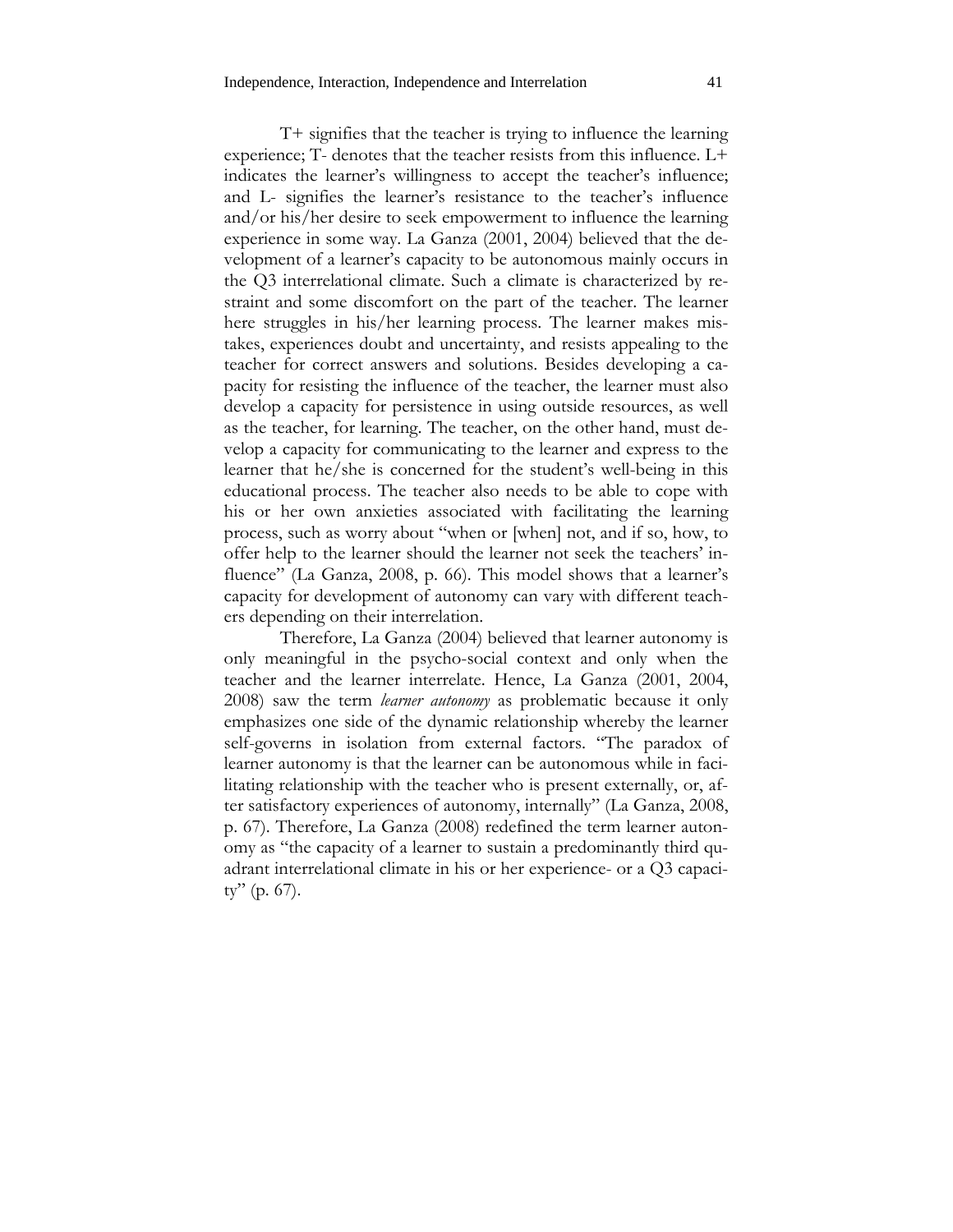T+ signifies that the teacher is trying to influence the learning experience; T- denotes that the teacher resists from this influence. L+ indicates the learner's willingness to accept the teacher's influence; and L- signifies the learner's resistance to the teacher's influence and/or his/her desire to seek empowerment to influence the learning experience in some way. La Ganza (2001, 2004) believed that the development of a learner's capacity to be autonomous mainly occurs in the Q3 interrelational climate. Such a climate is characterized by restraint and some discomfort on the part of the teacher. The learner here struggles in his/her learning process. The learner makes mistakes, experiences doubt and uncertainty, and resists appealing to the teacher for correct answers and solutions. Besides developing a capacity for resisting the influence of the teacher, the learner must also develop a capacity for persistence in using outside resources, as well as the teacher, for learning. The teacher, on the other hand, must develop a capacity for communicating to the learner and express to the learner that he/she is concerned for the student's well-being in this educational process. The teacher also needs to be able to cope with his or her own anxieties associated with facilitating the learning process, such as worry about "when or [when] not, and if so, how, to offer help to the learner should the learner not seek the teachers' influence" (La Ganza, 2008, p. 66). This model shows that a learner's capacity for development of autonomy can vary with different teachers depending on their interrelation.

Therefore, La Ganza (2004) believed that learner autonomy is only meaningful in the psycho-social context and only when the teacher and the learner interrelate. Hence, La Ganza (2001, 2004, 2008) saw the term *learner autonomy* as problematic because it only emphasizes one side of the dynamic relationship whereby the learner self-governs in isolation from external factors. "The paradox of learner autonomy is that the learner can be autonomous while in facilitating relationship with the teacher who is present externally, or, after satisfactory experiences of autonomy, internally" (La Ganza, 2008, p. 67). Therefore, La Ganza (2008) redefined the term learner autonomy as "the capacity of a learner to sustain a predominantly third quadrant interrelational climate in his or her experience- or a Q3 capacity" (p. 67).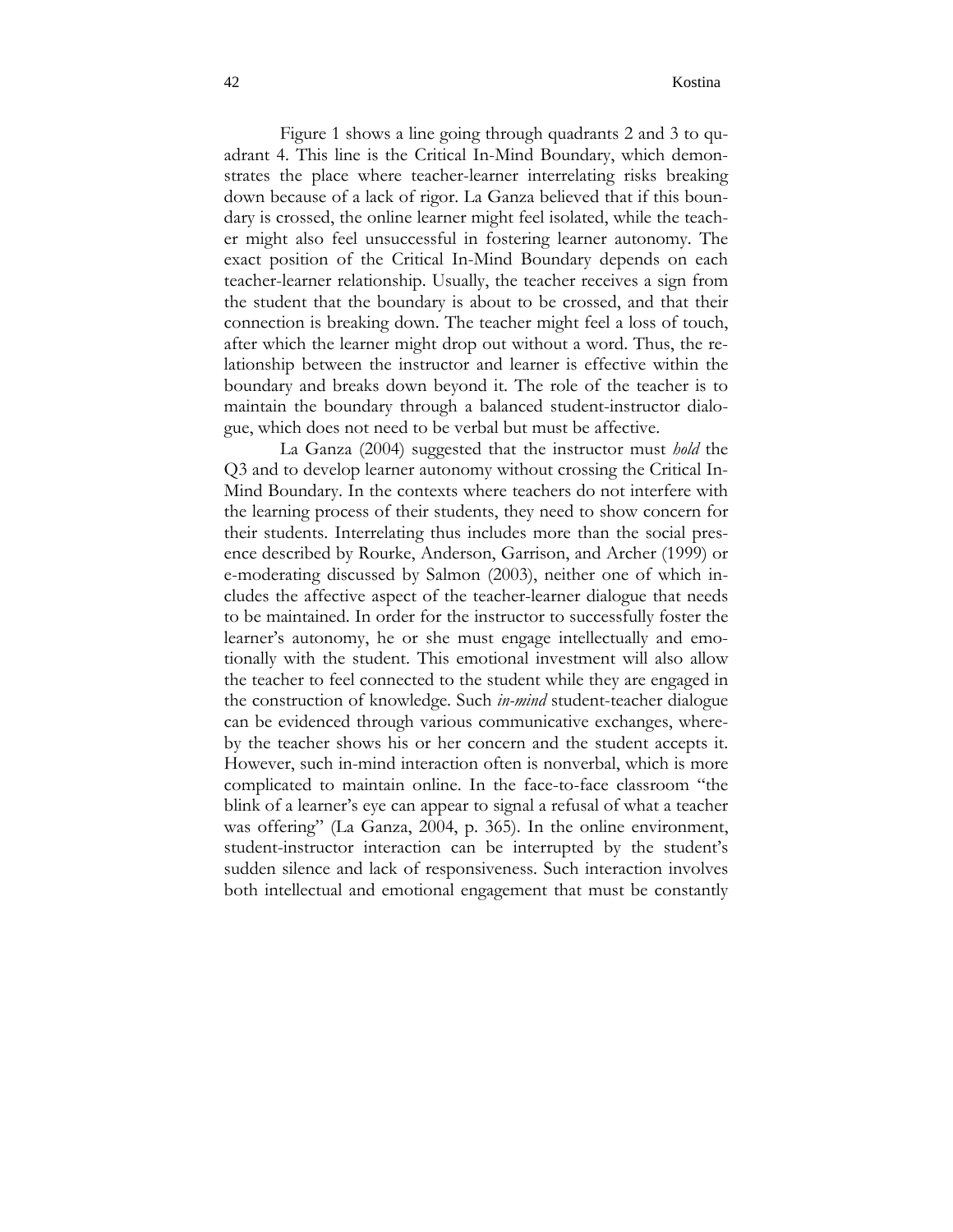Figure 1 shows a line going through quadrants 2 and 3 to quadrant 4. This line is the Critical In-Mind Boundary, which demonstrates the place where teacher-learner interrelating risks breaking down because of a lack of rigor. La Ganza believed that if this boundary is crossed, the online learner might feel isolated, while the teacher might also feel unsuccessful in fostering learner autonomy. The exact position of the Critical In-Mind Boundary depends on each teacher-learner relationship. Usually, the teacher receives a sign from the student that the boundary is about to be crossed, and that their connection is breaking down. The teacher might feel a loss of touch, after which the learner might drop out without a word. Thus, the relationship between the instructor and learner is effective within the boundary and breaks down beyond it. The role of the teacher is to maintain the boundary through a balanced student-instructor dialogue, which does not need to be verbal but must be affective.

La Ganza (2004) suggested that the instructor must *hold* the Q3 and to develop learner autonomy without crossing the Critical In-Mind Boundary. In the contexts where teachers do not interfere with the learning process of their students, they need to show concern for their students. Interrelating thus includes more than the social presence described by Rourke, Anderson, Garrison, and Archer (1999) or e-moderating discussed by Salmon (2003), neither one of which includes the affective aspect of the teacher-learner dialogue that needs to be maintained. In order for the instructor to successfully foster the learner's autonomy, he or she must engage intellectually and emotionally with the student. This emotional investment will also allow the teacher to feel connected to the student while they are engaged in the construction of knowledge. Such *in-mind* student-teacher dialogue can be evidenced through various communicative exchanges, whereby the teacher shows his or her concern and the student accepts it. However, such in-mind interaction often is nonverbal, which is more complicated to maintain online. In the face-to-face classroom "the blink of a learner's eye can appear to signal a refusal of what a teacher was offering" (La Ganza, 2004, p. 365). In the online environment, student-instructor interaction can be interrupted by the student's sudden silence and lack of responsiveness. Such interaction involves both intellectual and emotional engagement that must be constantly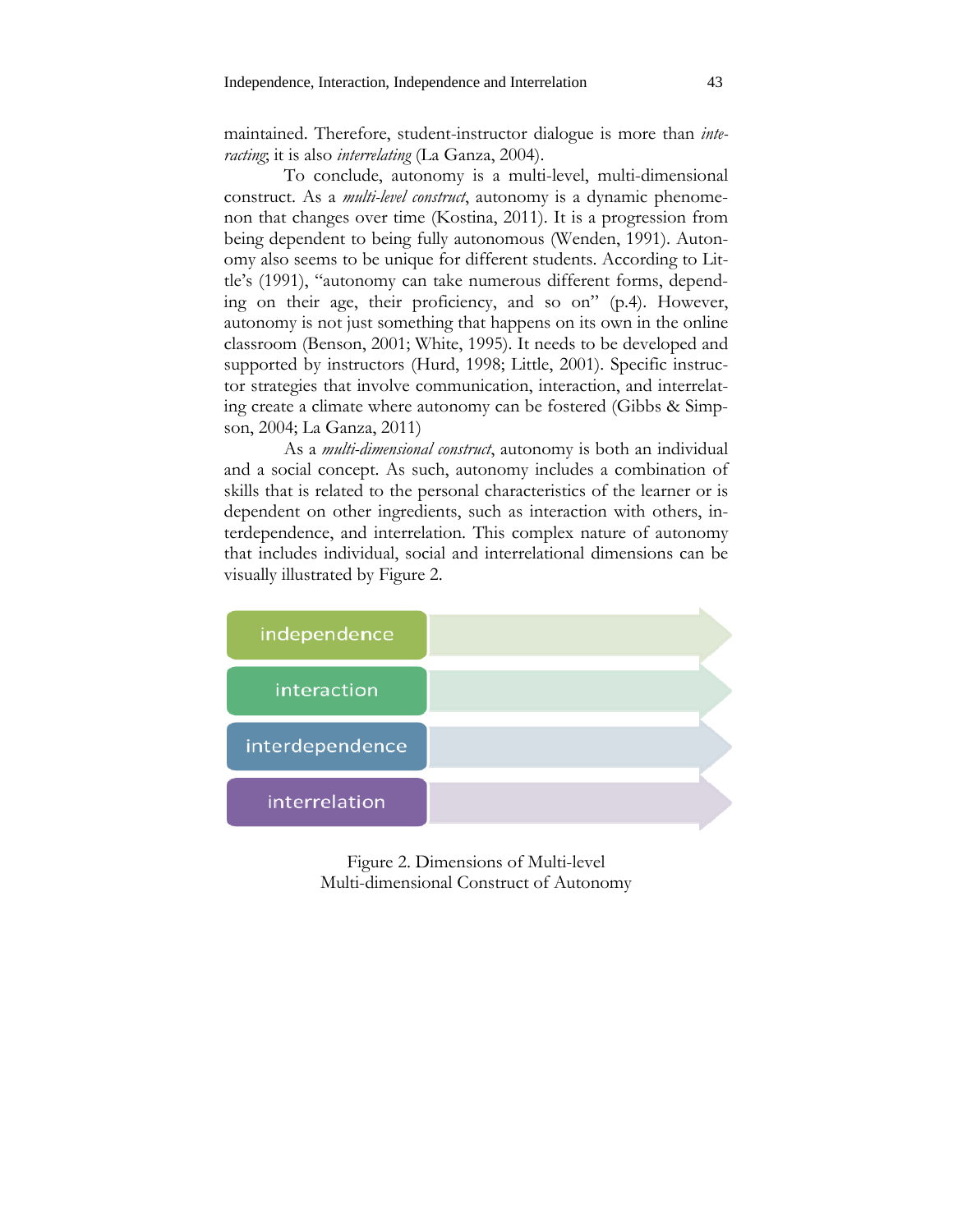maintained. Therefore, student-instructor dialogue is more than *interacting*; it is also *interrelating* (La Ganza, 2004).

To conclude, autonomy is a multi-level, multi-dimensional construct. As a *multi-level construct*, autonomy is a dynamic phenomenon that changes over time (Kostina, 2011). It is a progression from being dependent to being fully autonomous (Wenden, 1991). Autonomy also seems to be unique for different students. According to Little's (1991), "autonomy can take numerous different forms, depending on their age, their proficiency, and so on" (p.4). However, autonomy is not just something that happens on its own in the online classroom (Benson, 2001; White, 1995). It needs to be developed and supported by instructors (Hurd, 1998; Little, 2001). Specific instructor strategies that involve communication, interaction, and interrelating create a climate where autonomy can be fostered (Gibbs & Simpson, 2004; La Ganza, 2011)

As a *multi-dimensional construct*, autonomy is both an individual and a social concept. As such, autonomy includes a combination of skills that is related to the personal characteristics of the learner or is dependent on other ingredients, such as interaction with others, interdependence, and interrelation. This complex nature of autonomy that includes individual, social and interrelational dimensions can be visually illustrated by Figure 2.



Figure 2. Dimensions of Multi-level Multi-dimensional Construct of Autonomy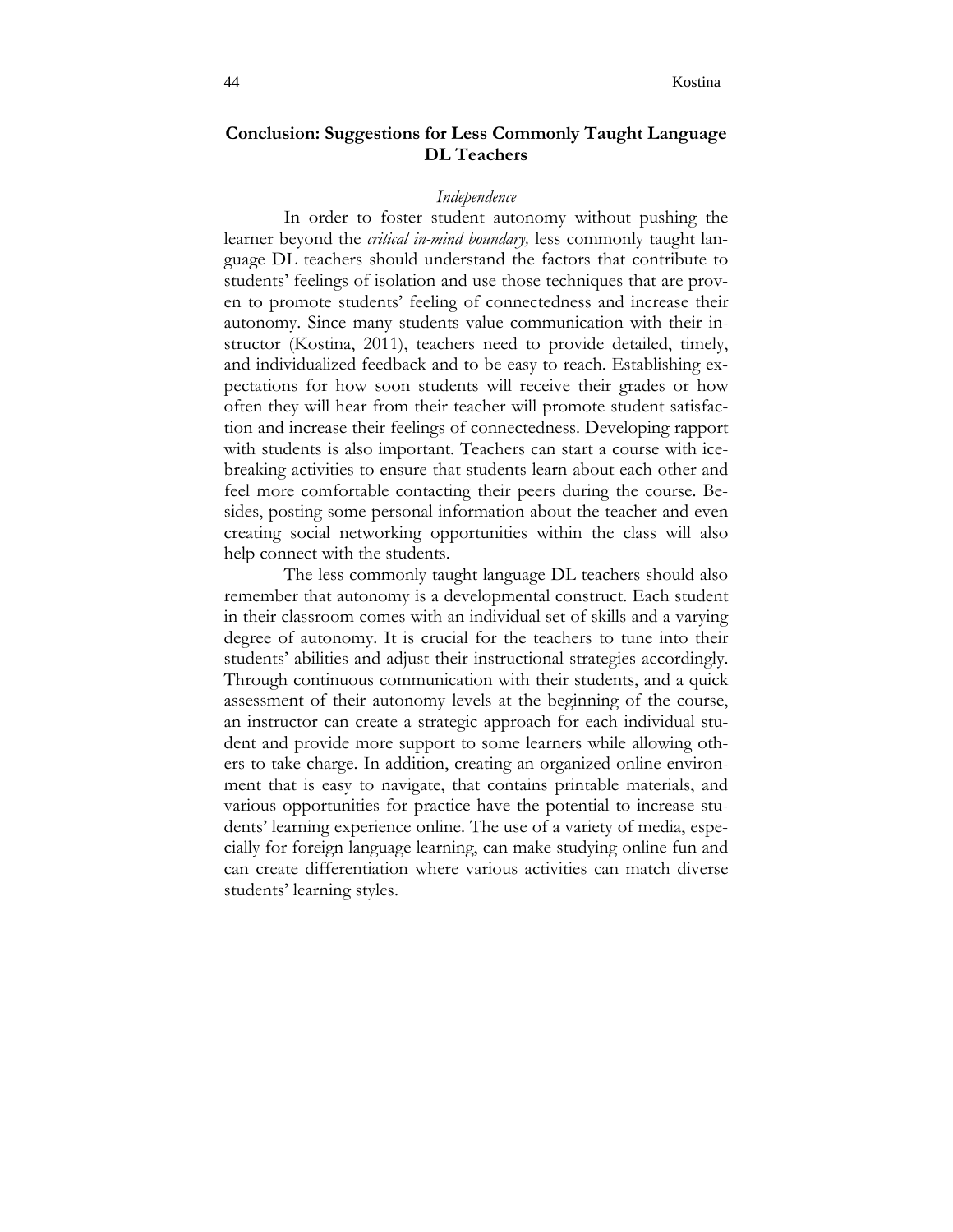# **Conclusion: Suggestions for Less Commonly Taught Language DL Teachers**

## *Independence*

In order to foster student autonomy without pushing the learner beyond the *critical in-mind boundary,* less commonly taught language DL teachers should understand the factors that contribute to students' feelings of isolation and use those techniques that are proven to promote students' feeling of connectedness and increase their autonomy. Since many students value communication with their instructor (Kostina, 2011), teachers need to provide detailed, timely, and individualized feedback and to be easy to reach. Establishing expectations for how soon students will receive their grades or how often they will hear from their teacher will promote student satisfaction and increase their feelings of connectedness. Developing rapport with students is also important. Teachers can start a course with icebreaking activities to ensure that students learn about each other and feel more comfortable contacting their peers during the course. Besides, posting some personal information about the teacher and even creating social networking opportunities within the class will also help connect with the students.

The less commonly taught language DL teachers should also remember that autonomy is a developmental construct. Each student in their classroom comes with an individual set of skills and a varying degree of autonomy. It is crucial for the teachers to tune into their students' abilities and adjust their instructional strategies accordingly. Through continuous communication with their students, and a quick assessment of their autonomy levels at the beginning of the course, an instructor can create a strategic approach for each individual student and provide more support to some learners while allowing others to take charge. In addition, creating an organized online environment that is easy to navigate, that contains printable materials, and various opportunities for practice have the potential to increase students' learning experience online. The use of a variety of media, especially for foreign language learning, can make studying online fun and can create differentiation where various activities can match diverse students' learning styles.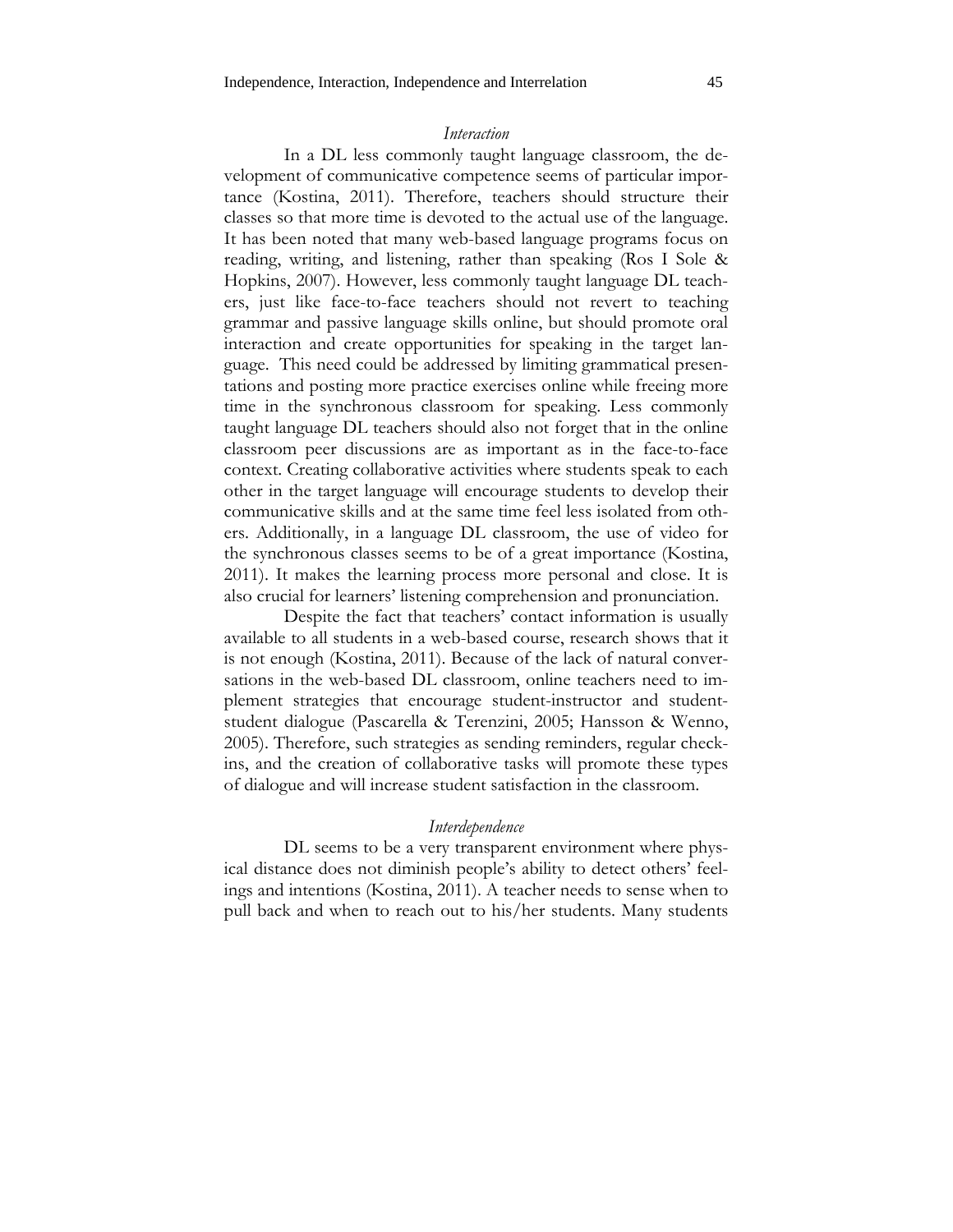#### *Interaction*

In a DL less commonly taught language classroom, the development of communicative competence seems of particular importance (Kostina, 2011). Therefore, teachers should structure their classes so that more time is devoted to the actual use of the language. It has been noted that many web-based language programs focus on reading, writing, and listening, rather than speaking (Ros I Sole & Hopkins, 2007). However, less commonly taught language DL teachers, just like face-to-face teachers should not revert to teaching grammar and passive language skills online, but should promote oral interaction and create opportunities for speaking in the target language. This need could be addressed by limiting grammatical presentations and posting more practice exercises online while freeing more time in the synchronous classroom for speaking. Less commonly taught language DL teachers should also not forget that in the online classroom peer discussions are as important as in the face-to-face context. Creating collaborative activities where students speak to each other in the target language will encourage students to develop their communicative skills and at the same time feel less isolated from others. Additionally, in a language DL classroom, the use of video for the synchronous classes seems to be of a great importance (Kostina, 2011). It makes the learning process more personal and close. It is also crucial for learners' listening comprehension and pronunciation.

Despite the fact that teachers' contact information is usually available to all students in a web-based course, research shows that it is not enough (Kostina, 2011). Because of the lack of natural conversations in the web-based DL classroom, online teachers need to implement strategies that encourage student-instructor and studentstudent dialogue (Pascarella & Terenzini, 2005; Hansson & Wenno, 2005). Therefore, such strategies as sending reminders, regular checkins, and the creation of collaborative tasks will promote these types of dialogue and will increase student satisfaction in the classroom.

# *Interdependence*

DL seems to be a very transparent environment where physical distance does not diminish people's ability to detect others' feelings and intentions (Kostina, 2011). A teacher needs to sense when to pull back and when to reach out to his/her students. Many students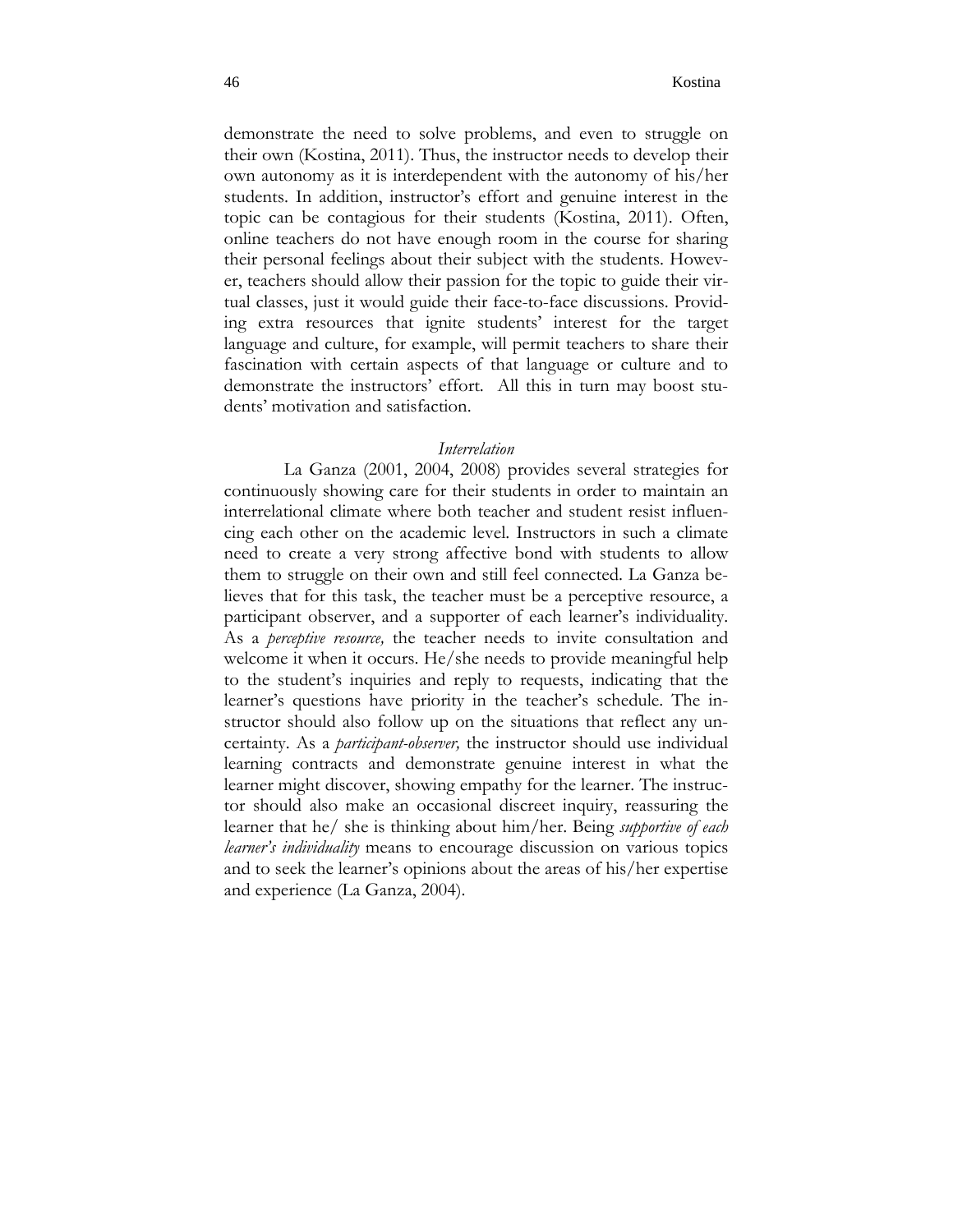demonstrate the need to solve problems, and even to struggle on their own (Kostina, 2011). Thus, the instructor needs to develop their own autonomy as it is interdependent with the autonomy of his/her students. In addition, instructor's effort and genuine interest in the topic can be contagious for their students (Kostina, 2011). Often, online teachers do not have enough room in the course for sharing their personal feelings about their subject with the students. However, teachers should allow their passion for the topic to guide their virtual classes, just it would guide their face-to-face discussions. Providing extra resources that ignite students' interest for the target language and culture, for example, will permit teachers to share their fascination with certain aspects of that language or culture and to demonstrate the instructors' effort. All this in turn may boost students' motivation and satisfaction.

# *Interrelation*

La Ganza (2001, 2004, 2008) provides several strategies for continuously showing care for their students in order to maintain an interrelational climate where both teacher and student resist influencing each other on the academic level. Instructors in such a climate need to create a very strong affective bond with students to allow them to struggle on their own and still feel connected. La Ganza believes that for this task, the teacher must be a perceptive resource, a participant observer, and a supporter of each learner's individuality. As a *perceptive resource,* the teacher needs to invite consultation and welcome it when it occurs. He/she needs to provide meaningful help to the student's inquiries and reply to requests, indicating that the learner's questions have priority in the teacher's schedule. The instructor should also follow up on the situations that reflect any uncertainty. As a *participant-observer,* the instructor should use individual learning contracts and demonstrate genuine interest in what the learner might discover, showing empathy for the learner. The instructor should also make an occasional discreet inquiry, reassuring the learner that he/ she is thinking about him/her. Being *supportive of each learner's individuality* means to encourage discussion on various topics and to seek the learner's opinions about the areas of his/her expertise and experience (La Ganza, 2004).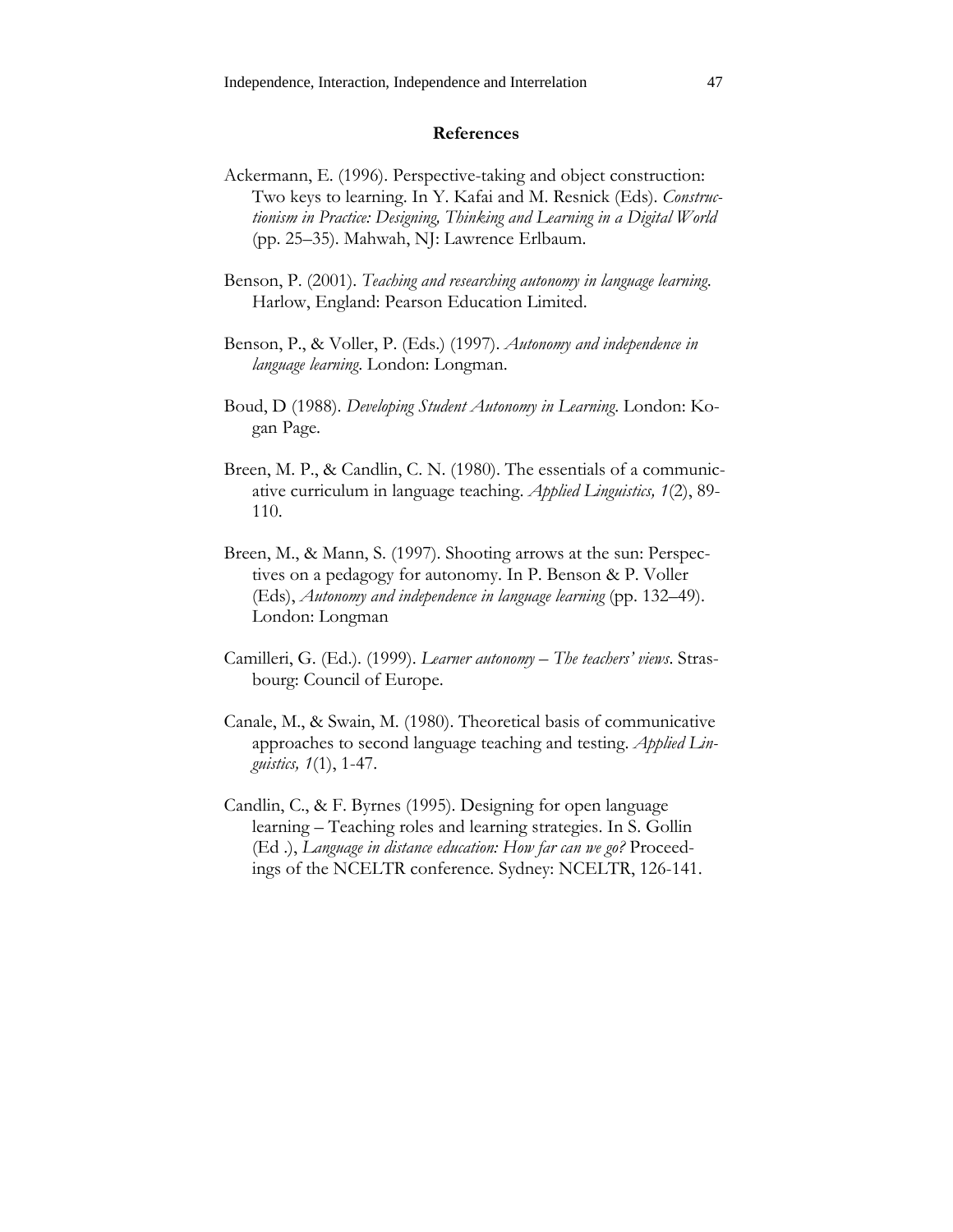# **References**

- Ackermann, E. (1996). Perspective-taking and object construction: Two keys to learning. In Y. Kafai and M. Resnick (Eds). *Constructionism in Practice: Designing, Thinking and Learning in a Digital World*  (pp. 25–35). Mahwah, NJ: Lawrence Erlbaum.
- Benson, P. (2001). *Teaching and researching autonomy in language learning*. Harlow, England: Pearson Education Limited.
- Benson, P., & Voller, P. (Eds.) (1997). *Autonomy and independence in language learning*. London: Longman.
- Boud, D (1988). *Developing Student Autonomy in Learning*. London: Kogan Page.
- Breen, M. P., & Candlin, C. N. (1980). The essentials of a communicative curriculum in language teaching. *Applied Linguistics, 1*(2), 89- 110.
- Breen, M., & Mann, S. (1997). Shooting arrows at the sun: Perspectives on a pedagogy for autonomy. In P. Benson & P. Voller (Eds), *Autonomy and independence in language learning* (pp. 132–49). London: Longman
- Camilleri, G. (Ed.). (1999). *Learner autonomy The teachers' views*. Strasbourg: Council of Europe.
- Canale, M., & Swain, M. (1980). Theoretical basis of communicative approaches to second language teaching and testing. *Applied Linguistics, 1*(1), 1-47.
- Candlin, C., & F. Byrnes (1995). Designing for open language learning – Teaching roles and learning strategies. In S. Gollin (Ed .), *Language in distance education: How far can we go?* Proceedings of the NCELTR conference. Sydney: NCELTR, 126-141.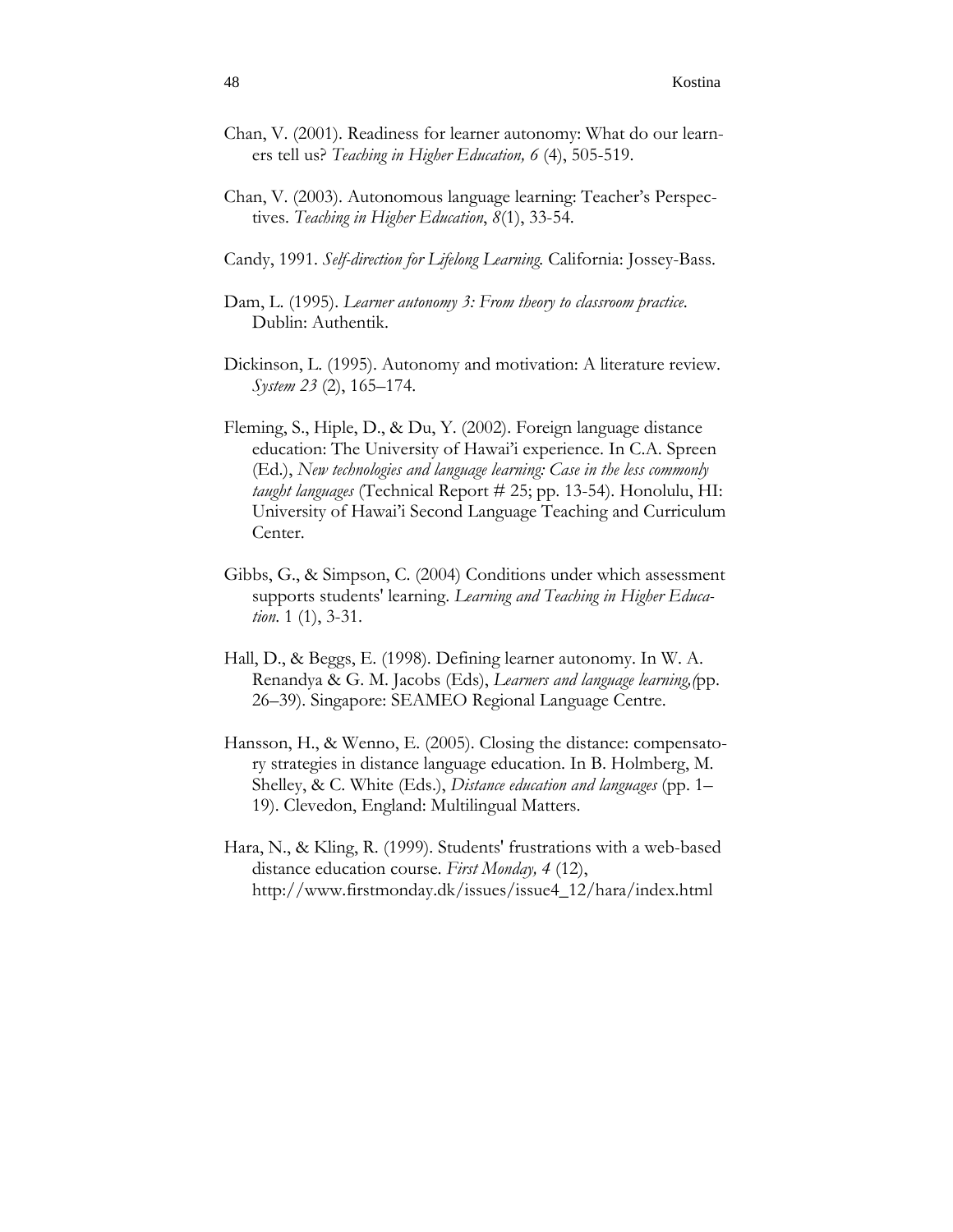- Chan, V. (2001). Readiness for learner autonomy: What do our learners tell us? *Teaching in Higher Education, 6* (4), 505-519.
- Chan, V. (2003). Autonomous language learning: Teacher's Perspectives. *Teaching in Higher Education*, *8*(1), 33-54.
- Candy, 1991. *Self-direction for Lifelong Learning.* California: Jossey-Bass.
- Dam, L. (1995). *Learner autonomy 3: From theory to classroom practice*. Dublin: Authentik.
- Dickinson, L. (1995). Autonomy and motivation: A literature review. *System 23* (2), 165–174.
- Fleming, S., Hiple, D., & Du, Y. (2002). Foreign language distance education: The University of Hawai'i experience. In C.A. Spreen (Ed.), *New technologies and language learning: Case in the less commonly taught languages* (Technical Report # 25; pp. 13-54). Honolulu, HI: University of Hawai'i Second Language Teaching and Curriculum Center.
- Gibbs, G., & Simpson, C. (2004) Conditions under which assessment supports students' learning. *Learning and Teaching in Higher Education*. 1 (1), 3-31.
- Hall, D., & Beggs, E. (1998). Defining learner autonomy. In W. A. Renandya & G. M. Jacobs (Eds), *Learners and language learning,(*pp. 26–39). Singapore: SEAMEO Regional Language Centre.
- Hansson, H., & Wenno, E. (2005). Closing the distance: compensatory strategies in distance language education. In B. Holmberg, M. Shelley, & C. White (Eds.), *Distance education and languages* (pp. 1– 19). Clevedon, England: Multilingual Matters.
- Hara, N., & Kling, R. (1999). Students' frustrations with a web-based distance education course. *First Monday, 4* (12), http://www.firstmonday.dk/issues/issue4\_12/hara/index.html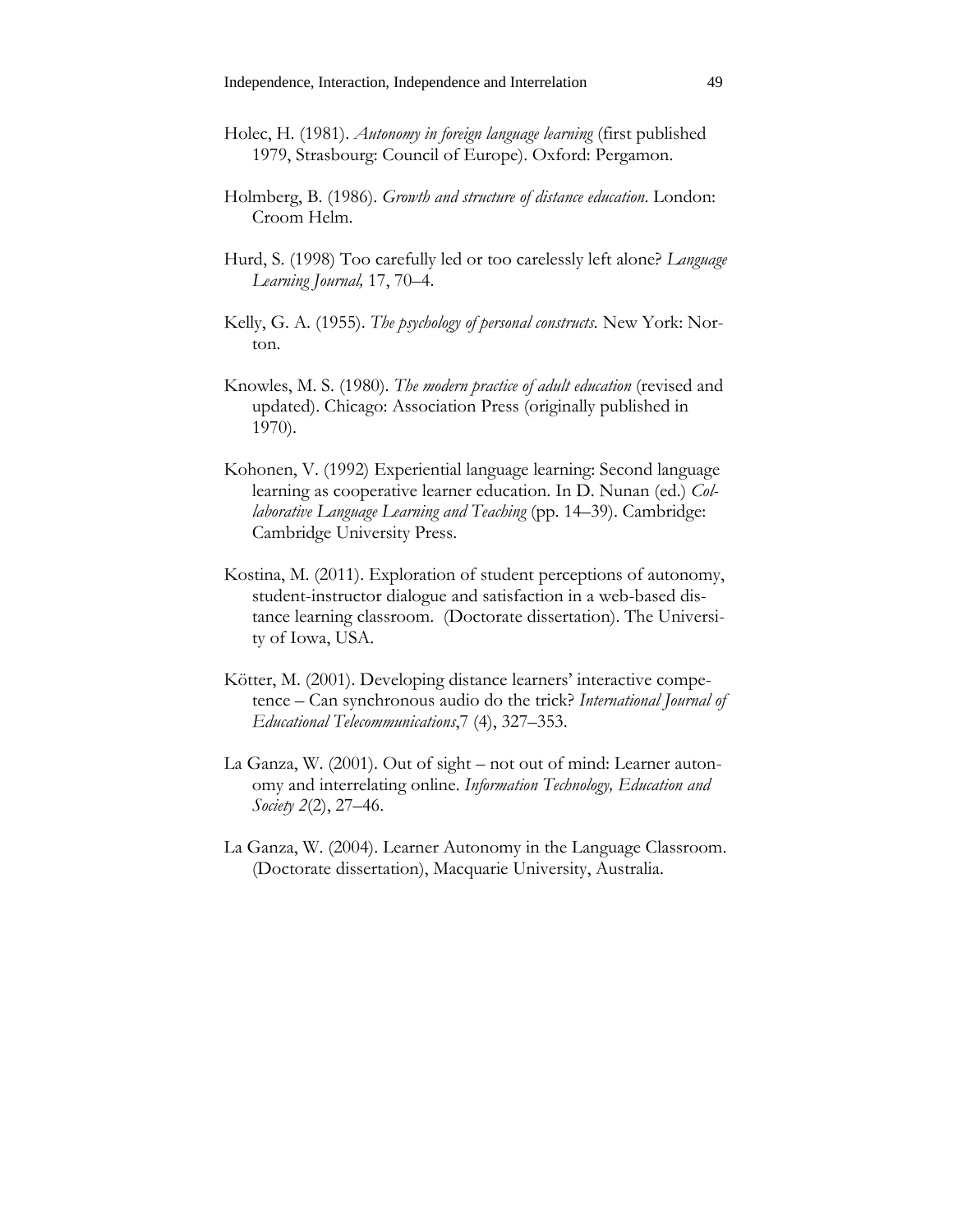- Holec, H. (1981). *Autonomy in foreign language learning* (first published 1979, Strasbourg: Council of Europe). Oxford: Pergamon.
- Holmberg, B. (1986). *Growth and structure of distance education*. London: Croom Helm.
- Hurd, S. (1998) Too carefully led or too carelessly left alone? *Language Learning Journal,* 17, 70–4.
- Kelly, G. A. (1955). *The psychology of personal constructs.* New York: Norton.
- Knowles, M. S. (1980). *The modern practice of adult education* (revised and updated). Chicago: Association Press (originally published in 1970).
- Kohonen, V. (1992) Experiential language learning: Second language learning as cooperative learner education. In D. Nunan (ed.) *Collaborative Language Learning and Teaching* (pp. 14–39). Cambridge: Cambridge University Press.
- Kostina, M. (2011). Exploration of student perceptions of autonomy, student-instructor dialogue and satisfaction in a web-based distance learning classroom. (Doctorate dissertation). The University of Iowa, USA.
- Kötter, M. (2001). Developing distance learners' interactive competence – Can synchronous audio do the trick? *International Journal of Educational Telecommunications*,7 (4), 327–353.
- La Ganza, W. (2001). Out of sight not out of mind: Learner autonomy and interrelating online. *Information Technology, Education and Society 2*(2), 27–46.
- La Ganza, W. (2004). Learner Autonomy in the Language Classroom. (Doctorate dissertation), Macquarie University, Australia.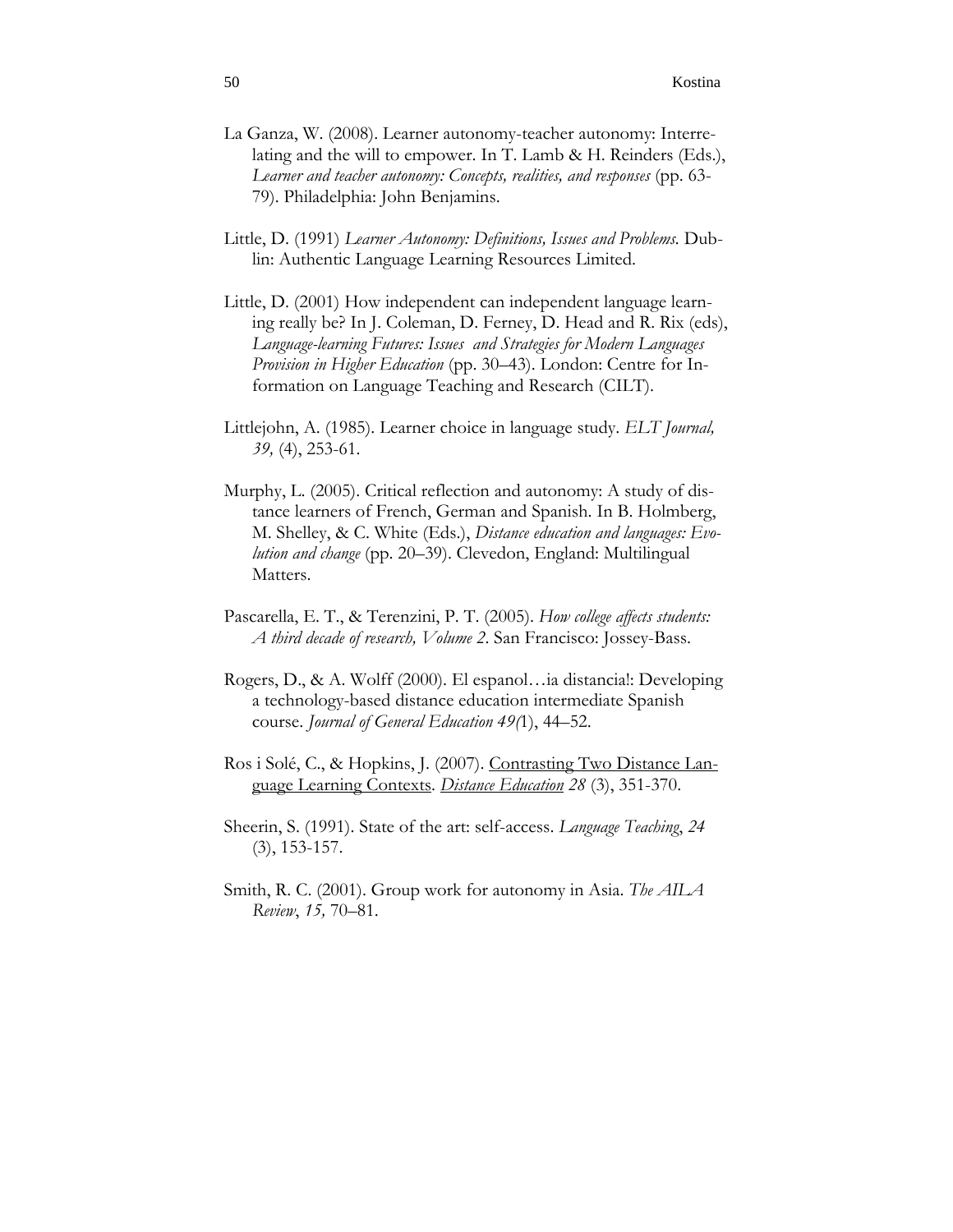- La Ganza, W. (2008). Learner autonomy-teacher autonomy: Interrelating and the will to empower. In T. Lamb & H. Reinders (Eds.), *Learner and teacher autonomy: Concepts, realities, and responses* (pp. 63- 79). Philadelphia: John Benjamins.
- Little, D. (1991) *Learner Autonomy: Definitions, Issues and Problems.* Dublin: Authentic Language Learning Resources Limited.
- Little, D. (2001) How independent can independent language learning really be? In J. Coleman, D. Ferney, D. Head and R. Rix (eds), *Language-learning Futures: Issues and Strategies for Modern Languages Provision in Higher Education* (pp. 30–43). London: Centre for Information on Language Teaching and Research (CILT).
- Littlejohn, A. (1985). Learner choice in language study. *ELT Journal, 39,* (4), 253-61.
- Murphy, L. (2005). Critical reflection and autonomy: A study of distance learners of French, German and Spanish. In B. Holmberg, M. Shelley, & C. White (Eds.), *Distance education and languages: Evolution and change* (pp. 20–39). Clevedon, England: Multilingual Matters.
- Pascarella, E. T., & Terenzini, P. T. (2005). *How college affects students: A third decade of research, Volume 2*. San Francisco: Jossey-Bass.
- Rogers, D., & A. Wolff (2000). El espanol…ia distancia!: Developing a technology-based distance education intermediate Spanish course. *Journal of General Education 49(*1), 44–52.
- Ros i Solé, C., & Hopkins, J. (2007). Contrasting Two Distance Language Learning Contexts. *Distance Education 28* (3), 351-370.
- Sheerin, S. (1991). State of the art: self-access. *Language Teaching*, *24* (3), 153-157.
- Smith, R. C. (2001). Group work for autonomy in Asia. *The AILA Review*, *15,* 70–81.